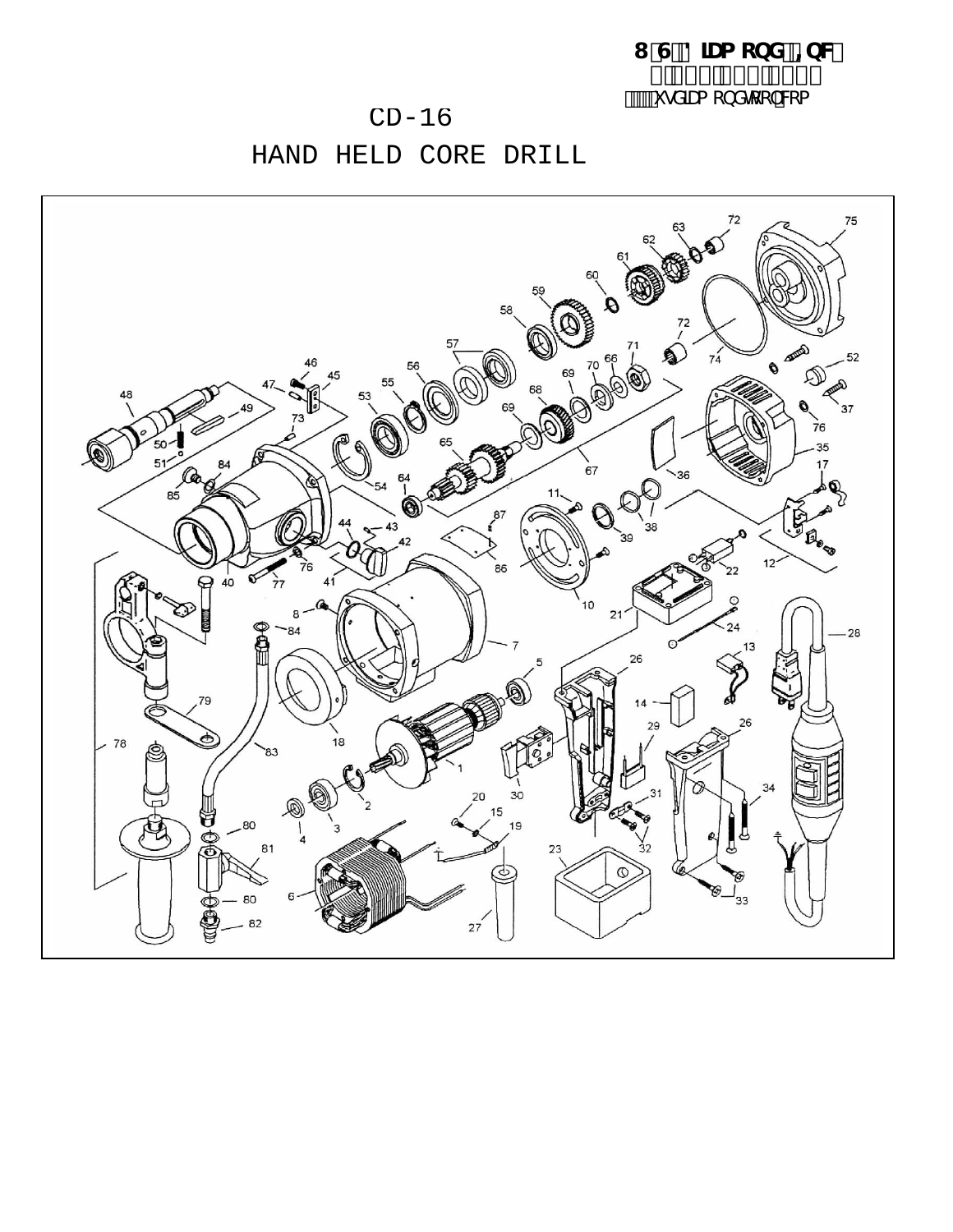I 'G"8]Ua cbXž=bW %', \$\$'), &'% &i gX]Ua cbXhcc`"Wta

## $CD-16$

HAND HELD CORE DRILL

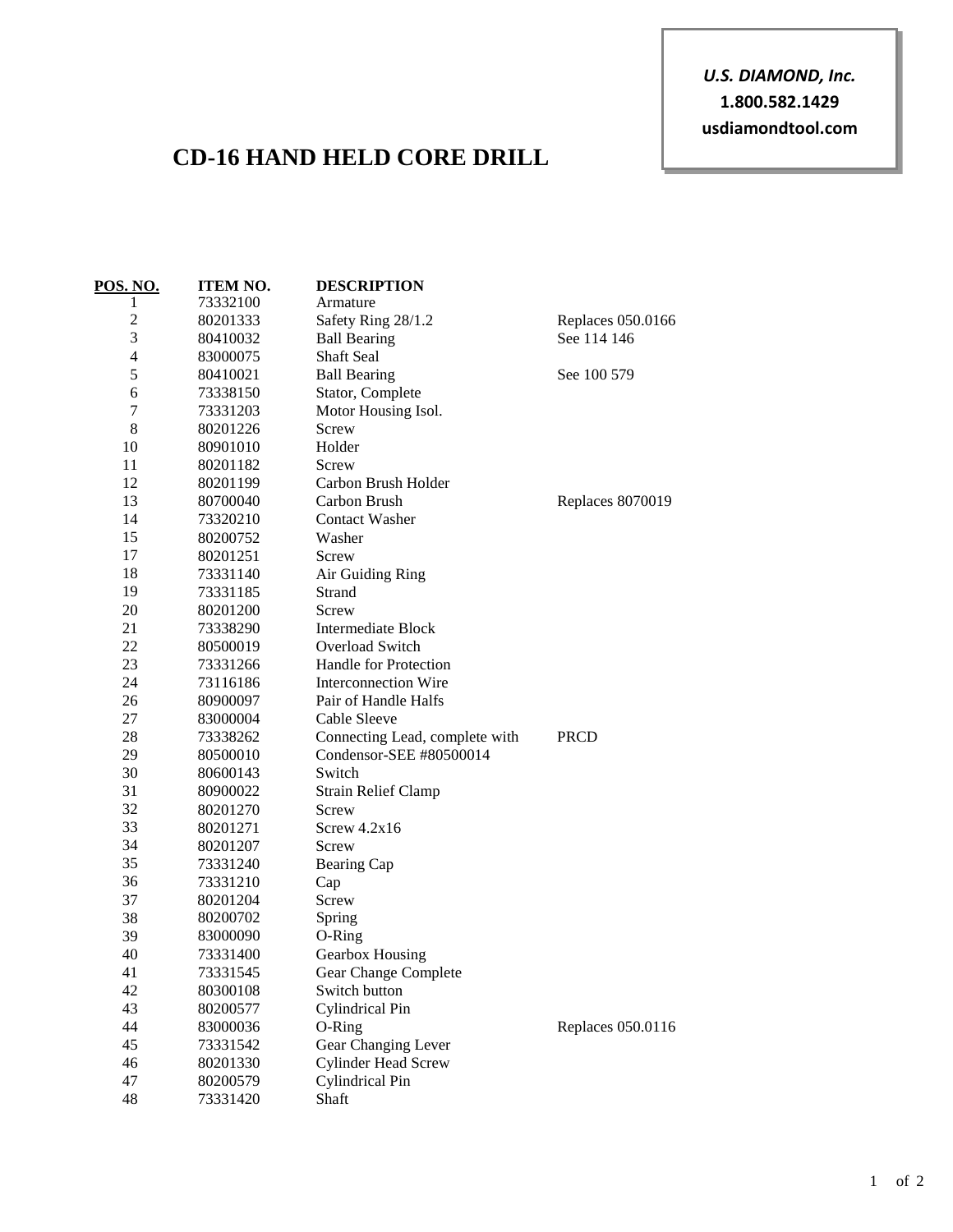*U.S. DIAMOND, Inc.* **1.800.582.1429 usdiamondtool.com**

## **CD-16 HAND HELD CORE DRILL**

| POS. NO.       | <b>ITEM NO.</b> | <b>DESCRIPTION</b>             |                         |
|----------------|-----------------|--------------------------------|-------------------------|
| 1              | 73332100        | Armature                       |                         |
| $\overline{c}$ | 80201333        | Safety Ring 28/1.2             | Replaces 050.0166       |
| 3              | 80410032        | <b>Ball Bearing</b>            | See 114 146             |
| 4              | 83000075        | Shaft Seal                     |                         |
| 5              | 80410021        | <b>Ball Bearing</b>            | See 100 579             |
| 6              | 73338150        | Stator, Complete               |                         |
| 7              | 73331203        | Motor Housing Isol.            |                         |
| 8              | 80201226        | Screw                          |                         |
| 10             | 80901010        | Holder                         |                         |
| 11             | 80201182        | Screw                          |                         |
| 12             | 80201199        | Carbon Brush Holder            |                         |
| 13             | 80700040        | Carbon Brush                   | <b>Replaces 8070019</b> |
| 14             | 73320210        | <b>Contact Washer</b>          |                         |
| 15             | 80200752        | Washer                         |                         |
| 17             | 80201251        | Screw                          |                         |
| 18             | 73331140        | Air Guiding Ring               |                         |
| 19             | 73331185        | Strand                         |                         |
| 20             | 80201200        | Screw                          |                         |
| 21             | 73338290        | <b>Intermediate Block</b>      |                         |
| 22             | 80500019        | Overload Switch                |                         |
| 23             | 73331266        | Handle for Protection          |                         |
| 24             | 73116186        | <b>Interconnection Wire</b>    |                         |
| 26             | 80900097        | Pair of Handle Halfs           |                         |
| 27             | 83000004        | Cable Sleeve                   |                         |
| 28             | 73338262        | Connecting Lead, complete with | <b>PRCD</b>             |
| 29             | 80500010        | Condensor-SEE #80500014        |                         |
| 30             | 80600143        | Switch                         |                         |
| 31             | 80900022        | <b>Strain Relief Clamp</b>     |                         |
| 32             | 80201270        | Screw                          |                         |
| 33             | 80201271        | Screw $4.2x16$                 |                         |
| 34             | 80201207        | Screw                          |                         |
| 35             | 73331240        | Bearing Cap                    |                         |
| 36             | 73331210        | Cap                            |                         |
| 37             | 80201204        | Screw                          |                         |
| 38             | 80200702        | Spring                         |                         |
| 39             | 83000090        | O-Ring                         |                         |
| 40             | 73331400        | Gearbox Housing                |                         |
| 41             | 73331545        | Gear Change Complete           |                         |
| 42             | 80300108        | Switch button                  |                         |
| 43             | 80200577        | Cylindrical Pin                |                         |
| 44             | 83000036        | O-Ring                         | Replaces 050.0116       |
| 45             | 73331542        | Gear Changing Lever            |                         |
| 46             | 80201330        | <b>Cylinder Head Screw</b>     |                         |
| 47             | 80200579        | Cylindrical Pin                |                         |
| 48             | 73331420        | Shaft                          |                         |